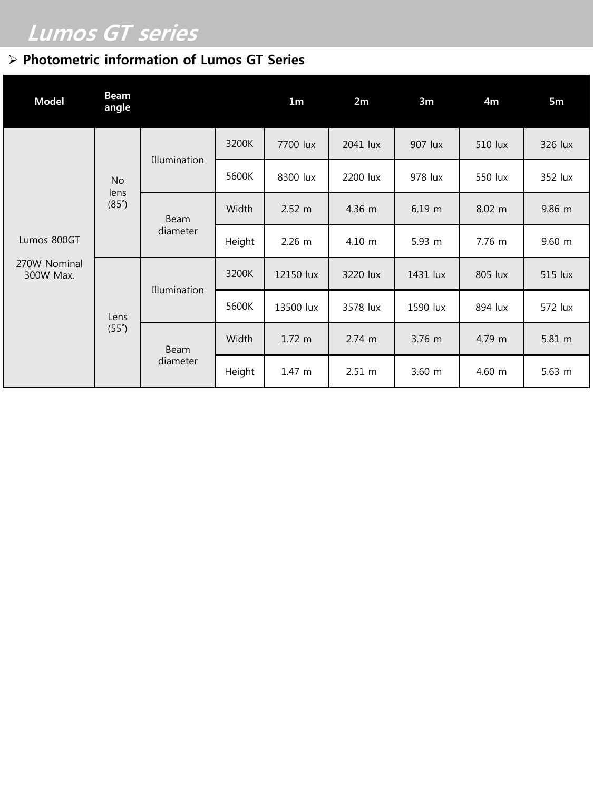## Lumos GT series

## $\triangleright$  Photometric information of Lumos GT Series

| <b>Model</b>                             | <b>Beam</b><br>angle              |                         |        | 1 <sub>m</sub>   | 2m               | 3m               | 4m      | 5m          |
|------------------------------------------|-----------------------------------|-------------------------|--------|------------------|------------------|------------------|---------|-------------|
| Lumos 800GT<br>270W Nominal<br>300W Max. | <b>No</b><br>lens<br>$(85^\circ)$ | Illumination            | 3200K  | 7700 lux         | 2041 lux         | 907 lux          | 510 lux | 326 lux     |
|                                          |                                   |                         | 5600K  | 8300 lux         | 2200 lux         | 978 lux          | 550 lux | 352 lux     |
|                                          |                                   | <b>Beam</b><br>diameter | Width  | $2.52 \text{ m}$ | 4.36 m           | $6.19$ m         | 8.02 m  | 9.86 m      |
|                                          |                                   |                         | Height | $2.26 \text{ m}$ | $4.10 \; m$      | $5.93 \text{ m}$ | 7.76 m  | $9.60 \; m$ |
|                                          | Lens<br>$(55^\circ)$              | Illumination            | 3200K  | 12150 lux        | 3220 lux         | 1431 lux         | 805 lux | 515 lux     |
|                                          |                                   |                         | 5600K  | 13500 lux        | 3578 lux         | 1590 lux         | 894 lux | 572 lux     |
|                                          |                                   | <b>Beam</b><br>diameter | Width  | $1.72 \; m$      | $2.74 \text{ m}$ | $3.76$ m         | 4.79 m  | 5.81 m      |
|                                          |                                   |                         | Height | 1.47 m           | $2.51 \; m$      | $3.60$ m         | 4.60 m  | $5.63$ m    |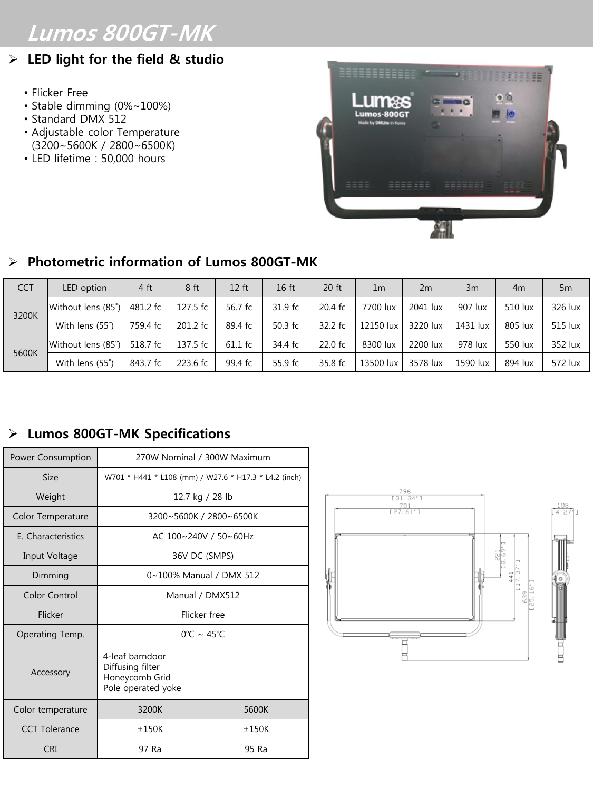# Lumos 800GT-MK

## $\triangleright$  LED light for the field & studio

- Flicker Free
- Stable dimming (0%~100%)
- Standard DMX 512
- Adjustable color Temperature (3200~5600K / 2800~6500K)
- LED lifetime : 50,000 hours



### $\triangleright$  Photometric information of Lumos 800GT-MK

| <b>CCT</b> | LED option         | 4 ft     | 8 <sub>ft</sub> | $12$ ft | 16 <sub>ft</sub>    | 20 ft               | 1 <sub>m</sub> | 2m       | 3m       | 4 <sub>m</sub> | 5 <sub>m</sub> |
|------------|--------------------|----------|-----------------|---------|---------------------|---------------------|----------------|----------|----------|----------------|----------------|
| 3200K      | Without lens (85°) | 481.2 fc | 127.5 fc        | 56.7 fc | 31.9 f <sub>c</sub> | 20.4 fc             | 7700 lux       | 2041 lux | 907 lux  | 510 lux        | 326 lux        |
|            | With lens (55°)    | 759.4 fc | 201.2 fc        | 89.4 fc | 50.3 $fc$           | $32.2$ fc           | 12150 lux      | 3220 lux | 1431 lux | 805 lux        | 515 lux        |
| 5600K      | Without lens (85°) | 518.7 fc | 137.5 fc        | 61.1 fc | 34.4 fc             | 22.0 f <sub>c</sub> | 8300 lux       | 2200 lux | 978 lux  | 550 lux        | 352 lux        |
|            | With lens (55°)    | 843.7 fc | 223.6 fc        | 99.4 fc | 55.9 fc             | 35.8 fc             | 13500 lux      | 3578 lux | 1590 lux | 894 lux        | 572 lux        |

### Lumos 800GT-MK Specifications

| Power Consumption    | 270W Nominal / 300W Maximum                                                 |                         |  |  |  |
|----------------------|-----------------------------------------------------------------------------|-------------------------|--|--|--|
| <b>Size</b>          | W701 * H441 * L108 (mm) / W27.6 * H17.3 * L4.2 (inch)                       |                         |  |  |  |
| Weight               | 12.7 kg / 28 lb                                                             |                         |  |  |  |
| Color Temperature    |                                                                             | 3200~5600K / 2800~6500K |  |  |  |
| E. Characteristics   | AC 100~240V / 50~60Hz                                                       |                         |  |  |  |
| Input Voltage        | 36V DC (SMPS)                                                               |                         |  |  |  |
| Dimming              | 0~100% Manual / DMX 512                                                     |                         |  |  |  |
| Color Control        | Manual / DMX512                                                             |                         |  |  |  |
| Flicker              | Flicker free                                                                |                         |  |  |  |
| Operating Temp.      | $0^{\circ}$ $\sim 45^{\circ}$ C                                             |                         |  |  |  |
| Accessory            | 4-leaf barndoor<br>Diffusing filter<br>Honeycomb Grid<br>Pole operated yoke |                         |  |  |  |
| Color temperature    | 3200K                                                                       | 5600K                   |  |  |  |
| <b>CCT Tolerance</b> | ±150K                                                                       | ±150K                   |  |  |  |
| CRI                  | 97 Ra                                                                       | 95 Ra                   |  |  |  |